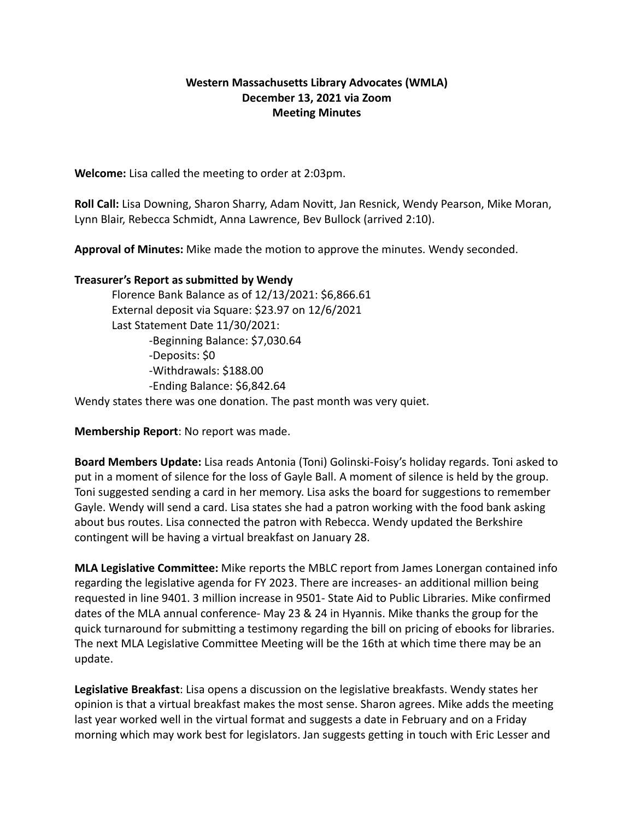## **Western Massachusetts Library Advocates (WMLA) December 13, 2021 via Zoom Meeting Minutes**

**Welcome:** Lisa called the meeting to order at 2:03pm.

**Roll Call:** Lisa Downing, Sharon Sharry, Adam Novitt, Jan Resnick, Wendy Pearson, Mike Moran, Lynn Blair, Rebecca Schmidt, Anna Lawrence, Bev Bullock (arrived 2:10).

**Approval of Minutes:** Mike made the motion to approve the minutes. Wendy seconded.

## **Treasurer's Report as submitted by Wendy**

Florence Bank Balance as of 12/13/2021: \$6,866.61 External deposit via Square: \$23.97 on 12/6/2021 Last Statement Date 11/30/2021: -Beginning Balance: \$7,030.64 -Deposits: \$0 -Withdrawals: \$188.00 -Ending Balance: \$6,842.64

Wendy states there was one donation. The past month was very quiet.

**Membership Report**: No report was made.

**Board Members Update:** Lisa reads Antonia (Toni) Golinski-Foisy's holiday regards. Toni asked to put in a moment of silence for the loss of Gayle Ball. A moment of silence is held by the group. Toni suggested sending a card in her memory. Lisa asks the board for suggestions to remember Gayle. Wendy will send a card. Lisa states she had a patron working with the food bank asking about bus routes. Lisa connected the patron with Rebecca. Wendy updated the Berkshire contingent will be having a virtual breakfast on January 28.

**MLA Legislative Committee:** Mike reports the MBLC report from James Lonergan contained info regarding the legislative agenda for FY 2023. There are increases- an additional million being requested in line 9401. 3 million increase in 9501- State Aid to Public Libraries. Mike confirmed dates of the MLA annual conference- May 23 & 24 in Hyannis. Mike thanks the group for the quick turnaround for submitting a testimony regarding the bill on pricing of ebooks for libraries. The next MLA Legislative Committee Meeting will be the 16th at which time there may be an update.

**Legislative Breakfast**: Lisa opens a discussion on the legislative breakfasts. Wendy states her opinion is that a virtual breakfast makes the most sense. Sharon agrees. Mike adds the meeting last year worked well in the virtual format and suggests a date in February and on a Friday morning which may work best for legislators. Jan suggests getting in touch with Eric Lesser and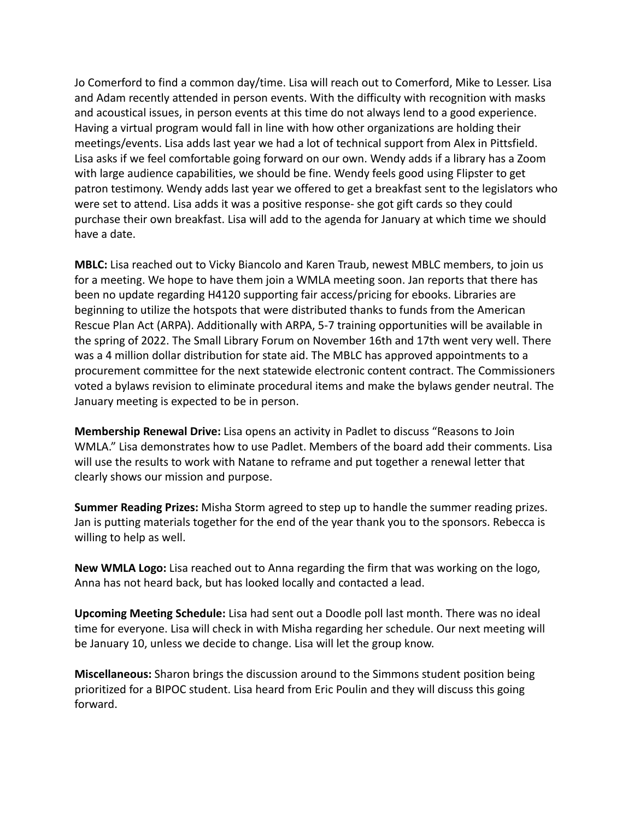Jo Comerford to find a common day/time. Lisa will reach out to Comerford, Mike to Lesser. Lisa and Adam recently attended in person events. With the difficulty with recognition with masks and acoustical issues, in person events at this time do not always lend to a good experience. Having a virtual program would fall in line with how other organizations are holding their meetings/events. Lisa adds last year we had a lot of technical support from Alex in Pittsfield. Lisa asks if we feel comfortable going forward on our own. Wendy adds if a library has a Zoom with large audience capabilities, we should be fine. Wendy feels good using Flipster to get patron testimony. Wendy adds last year we offered to get a breakfast sent to the legislators who were set to attend. Lisa adds it was a positive response- she got gift cards so they could purchase their own breakfast. Lisa will add to the agenda for January at which time we should have a date.

**MBLC:** Lisa reached out to Vicky Biancolo and Karen Traub, newest MBLC members, to join us for a meeting. We hope to have them join a WMLA meeting soon. Jan reports that there has been no update regarding H4120 supporting fair access/pricing for ebooks. Libraries are beginning to utilize the hotspots that were distributed thanks to funds from the American Rescue Plan Act (ARPA). Additionally with ARPA, 5-7 training opportunities will be available in the spring of 2022. The Small Library Forum on November 16th and 17th went very well. There was a 4 million dollar distribution for state aid. The MBLC has approved appointments to a procurement committee for the next statewide electronic content contract. The Commissioners voted a bylaws revision to eliminate procedural items and make the bylaws gender neutral. The January meeting is expected to be in person.

**Membership Renewal Drive:** Lisa opens an activity in Padlet to discuss "Reasons to Join WMLA." Lisa demonstrates how to use Padlet. Members of the board add their comments. Lisa will use the results to work with Natane to reframe and put together a renewal letter that clearly shows our mission and purpose.

**Summer Reading Prizes:** Misha Storm agreed to step up to handle the summer reading prizes. Jan is putting materials together for the end of the year thank you to the sponsors. Rebecca is willing to help as well.

**New WMLA Logo:** Lisa reached out to Anna regarding the firm that was working on the logo, Anna has not heard back, but has looked locally and contacted a lead.

**Upcoming Meeting Schedule:** Lisa had sent out a Doodle poll last month. There was no ideal time for everyone. Lisa will check in with Misha regarding her schedule. Our next meeting will be January 10, unless we decide to change. Lisa will let the group know.

**Miscellaneous:** Sharon brings the discussion around to the Simmons student position being prioritized for a BIPOC student. Lisa heard from Eric Poulin and they will discuss this going forward.